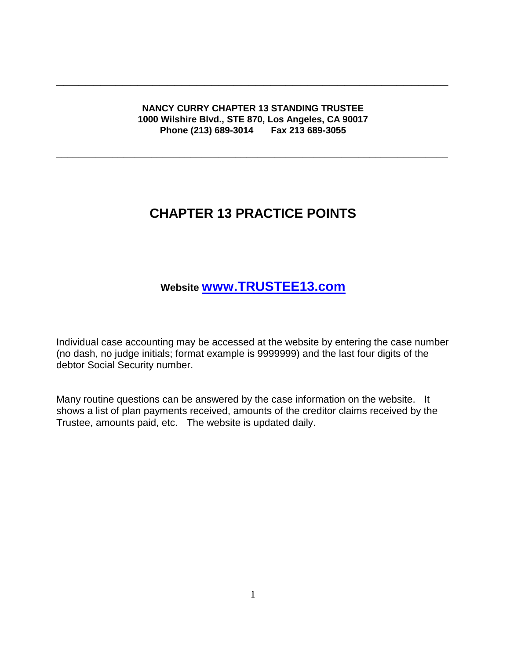**NANCY CURRY CHAPTER 13 STANDING TRUSTEE 1000 Wilshire Blvd., STE 870, Los Angeles, CA 90017 Phone (213) 689-3014 Fax 213 689-3055**

**\_\_\_\_\_\_\_\_\_\_\_\_\_\_\_\_\_\_\_\_\_\_\_\_\_\_\_\_\_\_\_\_\_\_\_\_\_\_\_\_\_\_\_\_\_\_\_\_\_\_\_\_\_\_\_\_\_\_\_\_\_\_\_\_\_\_\_\_\_\_**

\_\_\_\_\_\_\_\_\_\_\_\_\_\_\_\_\_\_\_\_\_\_\_\_\_\_\_\_\_\_\_\_\_\_\_\_\_\_\_\_\_\_\_\_\_\_\_\_\_\_\_\_\_

# **CHAPTER 13 PRACTICE POINTS**

## **Website [www.TRUSTEE13.com](http://www.trustee13.com/)**

Individual case accounting may be accessed at the website by entering the case number (no dash, no judge initials; format example is 9999999) and the last four digits of the debtor Social Security number.

Many routine questions can be answered by the case information on the website. It shows a list of plan payments received, amounts of the creditor claims received by the Trustee, amounts paid, etc. The website is updated daily.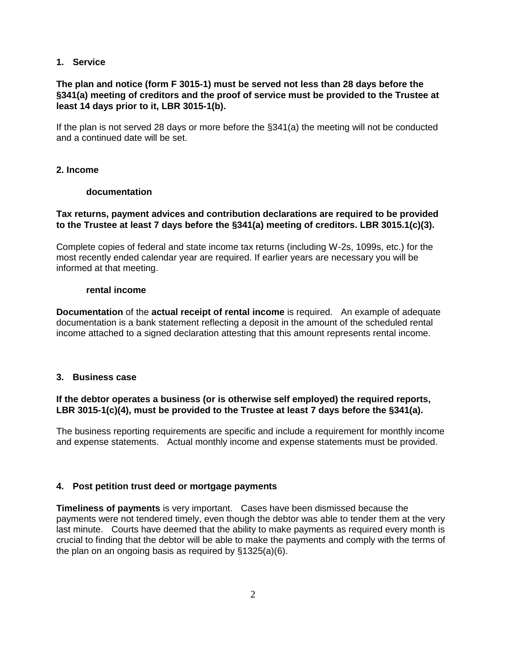## **1. Service**

## **The plan and notice (form F 3015-1) must be served not less than 28 days before the §341(a) meeting of creditors and the proof of service must be provided to the Trustee at least 14 days prior to it, LBR 3015-1(b).**

If the plan is not served 28 days or more before the §341(a) the meeting will not be conducted and a continued date will be set.

## **2. Income**

## **documentation**

## **Tax returns, payment advices and contribution declarations are required to be provided to the Trustee at least 7 days before the §341(a) meeting of creditors. LBR 3015.1(c)(3).**

Complete copies of federal and state income tax returns (including W-2s, 1099s, etc.) for the most recently ended calendar year are required. If earlier years are necessary you will be informed at that meeting.

#### **rental income**

**Documentation** of the **actual receipt of rental income** is required. An example of adequate documentation is a bank statement reflecting a deposit in the amount of the scheduled rental income attached to a signed declaration attesting that this amount represents rental income.

## **3. Business case**

## **If the debtor operates a business (or is otherwise self employed) the required reports, LBR 3015-1(c)(4), must be provided to the Trustee at least 7 days before the §341(a).**

The business reporting requirements are specific and include a requirement for monthly income and expense statements. Actual monthly income and expense statements must be provided.

## **4. Post petition trust deed or mortgage payments**

**Timeliness of payments** is very important. Cases have been dismissed because the payments were not tendered timely, even though the debtor was able to tender them at the very last minute. Courts have deemed that the ability to make payments as required every month is crucial to finding that the debtor will be able to make the payments and comply with the terms of the plan on an ongoing basis as required by §1325(a)(6).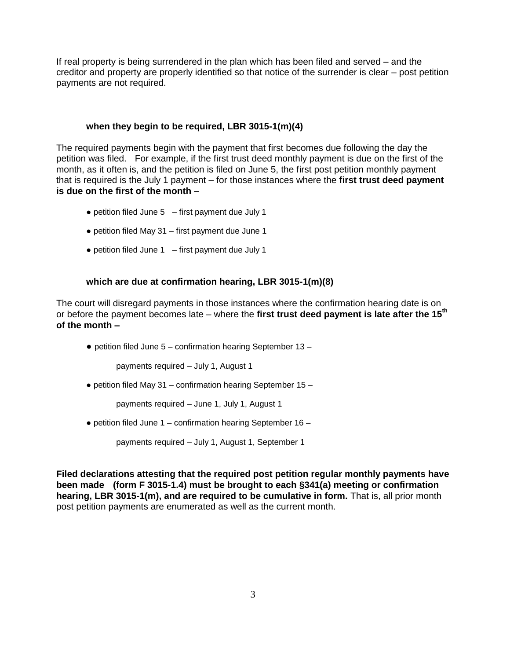If real property is being surrendered in the plan which has been filed and served – and the creditor and property are properly identified so that notice of the surrender is clear – post petition payments are not required.

## **when they begin to be required, LBR 3015-1(m)(4)**

The required payments begin with the payment that first becomes due following the day the petition was filed. For example, if the first trust deed monthly payment is due on the first of the month, as it often is, and the petition is filed on June 5, the first post petition monthly payment that is required is the July 1 payment – for those instances where the **first trust deed payment is due on the first of the month –** 

- $\bullet$  petition filed June 5 first payment due July 1
- petition filed May 31 first payment due June 1
- $\bullet$  petition filed June 1 first payment due July 1

#### **which are due at confirmation hearing, LBR 3015-1(m)(8)**

The court will disregard payments in those instances where the confirmation hearing date is on or before the payment becomes late – where the **first trust deed payment is late after the 15th of the month –**

 $\bullet$  petition filed June 5 – confirmation hearing September 13 –

payments required – July 1, August 1

● petition filed May 31 – confirmation hearing September 15 –

payments required – June 1, July 1, August 1

 $\bullet$  petition filed June 1 – confirmation hearing September 16 –

payments required – July 1, August 1, September 1

**Filed declarations attesting that the required post petition regular monthly payments have been made (form F 3015-1.4) must be brought to each §341(a) meeting or confirmation hearing, LBR 3015-1(m), and are required to be cumulative in form.** That is, all prior month post petition payments are enumerated as well as the current month.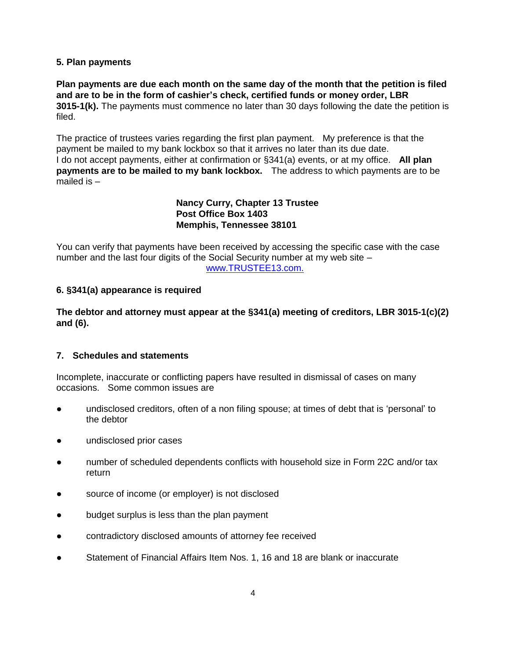## **5. Plan payments**

**Plan payments are due each month on the same day of the month that the petition is filed and are to be in the form of cashier's check, certified funds or money order, LBR 3015-1(k).** The payments must commence no later than 30 days following the date the petition is filed.

The practice of trustees varies regarding the first plan payment. My preference is that the payment be mailed to my bank lockbox so that it arrives no later than its due date. I do not accept payments, either at confirmation or §341(a) events, or at my office. **All plan payments are to be mailed to my bank lockbox.** The address to which payments are to be mailed is –

> **Nancy Curry, Chapter 13 Trustee Post Office Box 1403 Memphis, Tennessee 38101**

You can verify that payments have been received by accessing the specific case with the case number and the last four digits of the Social Security number at my web site – [www.TRUSTEE13.com.](http://www.trustee13.com./)

## **6. §341(a) appearance is required**

**The debtor and attorney must appear at the §341(a) meeting of creditors, LBR 3015-1(c)(2) and (6).**

#### **7. Schedules and statements**

Incomplete, inaccurate or conflicting papers have resulted in dismissal of cases on many occasions. Some common issues are

- undisclosed creditors, often of a non filing spouse; at times of debt that is 'personal' to the debtor
- undisclosed prior cases
- number of scheduled dependents conflicts with household size in Form 22C and/or tax return
- source of income (or employer) is not disclosed
- budget surplus is less than the plan payment
- contradictory disclosed amounts of attorney fee received
- Statement of Financial Affairs Item Nos. 1, 16 and 18 are blank or inaccurate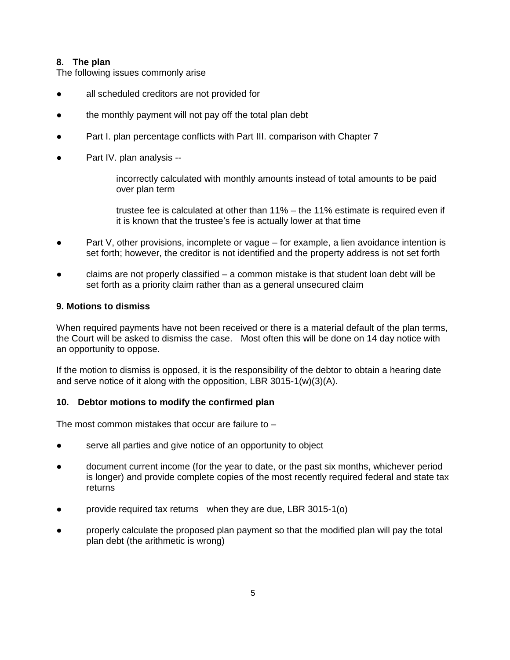## **8. The plan**

The following issues commonly arise

- all scheduled creditors are not provided for
- the monthly payment will not pay off the total plan debt
- Part I. plan percentage conflicts with Part III. comparison with Chapter 7
- Part IV. plan analysis --

incorrectly calculated with monthly amounts instead of total amounts to be paid over plan term

trustee fee is calculated at other than 11% – the 11% estimate is required even if it is known that the trustee's fee is actually lower at that time

- Part V, other provisions, incomplete or vague for example, a lien avoidance intention is set forth; however, the creditor is not identified and the property address is not set forth
- claims are not properly classified  $-$  a common mistake is that student loan debt will be set forth as a priority claim rather than as a general unsecured claim

## **9. Motions to dismiss**

When required payments have not been received or there is a material default of the plan terms, the Court will be asked to dismiss the case. Most often this will be done on 14 day notice with an opportunity to oppose.

If the motion to dismiss is opposed, it is the responsibility of the debtor to obtain a hearing date and serve notice of it along with the opposition, LBR 3015-1(w)(3)(A).

## **10. Debtor motions to modify the confirmed plan**

The most common mistakes that occur are failure to  $-$ 

- serve all parties and give notice of an opportunity to object
- document current income (for the year to date, or the past six months, whichever period is longer) and provide complete copies of the most recently required federal and state tax returns
- provide required tax returns when they are due, LBR 3015-1(o)
- properly calculate the proposed plan payment so that the modified plan will pay the total plan debt (the arithmetic is wrong)